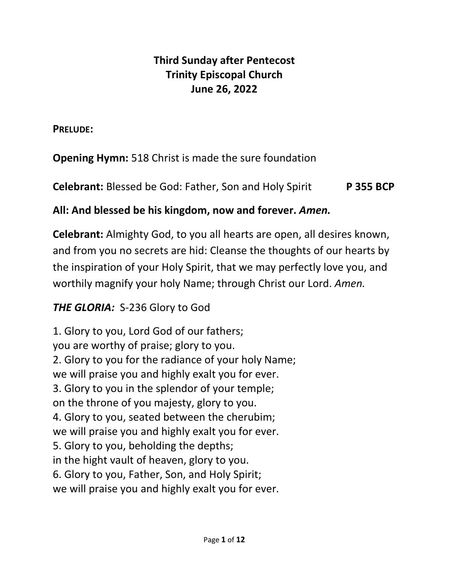# **Third Sunday after Pentecost Trinity Episcopal Church June 26, 2022**

**PRELUDE:**

**Opening Hymn:** 518 Christ is made the sure foundation

**Celebrant:** Blessed be God: Father, Son and Holy Spirit **P 355 BCP**

**All: And blessed be his kingdom, now and forever.** *Amen.*

**Celebrant:** Almighty God, to you all hearts are open, all desires known, and from you no secrets are hid: Cleanse the thoughts of our hearts by the inspiration of your Holy Spirit, that we may perfectly love you, and worthily magnify your holy Name; through Christ our Lord. *Amen.*

# *THE GLORIA:* S-236 Glory to God

1. Glory to you, Lord God of our fathers; you are worthy of praise; glory to you. 2. Glory to you for the radiance of your holy Name; we will praise you and highly exalt you for ever. 3. Glory to you in the splendor of your temple; on the throne of you majesty, glory to you. 4. Glory to you, seated between the cherubim; we will praise you and highly exalt you for ever. 5. Glory to you, beholding the depths; in the hight vault of heaven, glory to you. 6. Glory to you, Father, Son, and Holy Spirit; we will praise you and highly exalt you for ever.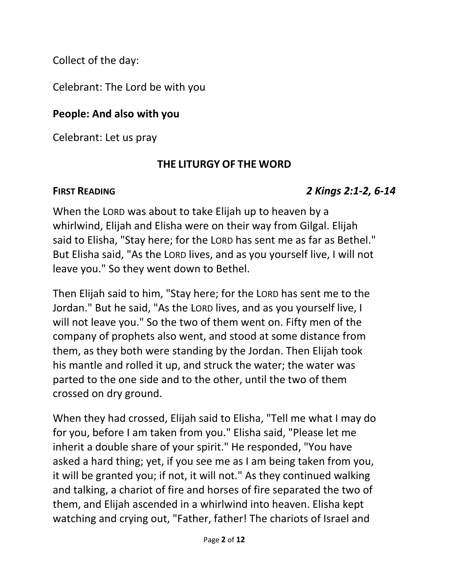Collect of the day:

Celebrant: The Lord be with you

#### **People: And also with you**

Celebrant: Let us pray

#### **THE LITURGY OF THE WORD**

#### **FIRST READING** *2 Kings 2:1-2, 6-14*

When the LORD was about to take Elijah up to heaven by a whirlwind, Elijah and Elisha were on their way from Gilgal. Elijah said to Elisha, "Stay here; for the LORD has sent me as far as Bethel." But Elisha said, "As the LORD lives, and as you yourself live, I will not leave you." So they went down to Bethel.

Then Elijah said to him, "Stay here; for the LORD has sent me to the Jordan." But he said, "As the LORD lives, and as you yourself live, I will not leave you." So the two of them went on. Fifty men of the company of prophets also went, and stood at some distance from them, as they both were standing by the Jordan. Then Elijah took his mantle and rolled it up, and struck the water; the water was parted to the one side and to the other, until the two of them crossed on dry ground.

When they had crossed, Elijah said to Elisha, "Tell me what I may do for you, before I am taken from you." Elisha said, "Please let me inherit a double share of your spirit." He responded, "You have asked a hard thing; yet, if you see me as I am being taken from you, it will be granted you; if not, it will not." As they continued walking and talking, a chariot of fire and horses of fire separated the two of them, and Elijah ascended in a whirlwind into heaven. Elisha kept watching and crying out, "Father, father! The chariots of Israel and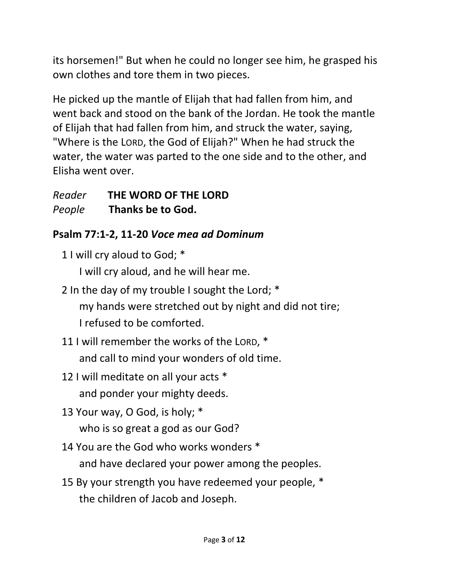its horsemen!" But when he could no longer see him, he grasped his own clothes and tore them in two pieces.

He picked up the mantle of Elijah that had fallen from him, and went back and stood on the bank of the Jordan. He took the mantle of Elijah that had fallen from him, and struck the water, saying, "Where is the LORD, the God of Elijah?" When he had struck the water, the water was parted to the one side and to the other, and Elisha went over.

# *Reader* **THE WORD OF THE LORD** *People* **Thanks be to God.**

# **Psalm 77:1-2, 11-20** *Voce mea ad Dominum*

1 I will cry aloud to God; \*

I will cry aloud, and he will hear me.

- 2 In the day of my trouble I sought the Lord; \* my hands were stretched out by night and did not tire; I refused to be comforted.
- 11 I will remember the works of the LORD, \* and call to mind your wonders of old time.
- 12 I will meditate on all your acts \* and ponder your mighty deeds.
- 13 Your way, O God, is holy; \* who is so great a god as our God?
- 14 You are the God who works wonders \* and have declared your power among the peoples.
- 15 By your strength you have redeemed your people, \* the children of Jacob and Joseph.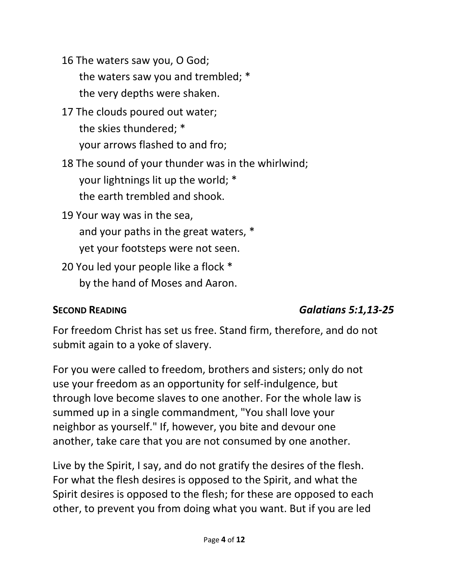- 16 The waters saw you, O God; the waters saw you and trembled; \* the very depths were shaken.
- 17 The clouds poured out water; the skies thundered; \* your arrows flashed to and fro;
- 18 The sound of your thunder was in the whirlwind; your lightnings lit up the world; \* the earth trembled and shook.
- 19 Your way was in the sea, and your paths in the great waters, \* yet your footsteps were not seen.
- 20 You led your people like a flock \* by the hand of Moses and Aaron.

### **SECOND READING** *Galatians 5:1,13-25*

For freedom Christ has set us free. Stand firm, therefore, and do not submit again to a yoke of slavery.

For you were called to freedom, brothers and sisters; only do not use your freedom as an opportunity for self-indulgence, but through love become slaves to one another. For the whole law is summed up in a single commandment, "You shall love your neighbor as yourself." If, however, you bite and devour one another, take care that you are not consumed by one another.

Live by the Spirit, I say, and do not gratify the desires of the flesh. For what the flesh desires is opposed to the Spirit, and what the Spirit desires is opposed to the flesh; for these are opposed to each other, to prevent you from doing what you want. But if you are led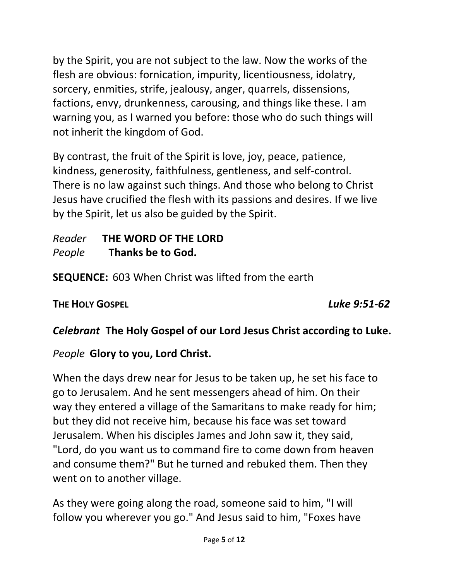by the Spirit, you are not subject to the law. Now the works of the flesh are obvious: fornication, impurity, licentiousness, idolatry, sorcery, enmities, strife, jealousy, anger, quarrels, dissensions, factions, envy, drunkenness, carousing, and things like these. I am warning you, as I warned you before: those who do such things will not inherit the kingdom of God.

By contrast, the fruit of the Spirit is love, joy, peace, patience, kindness, generosity, faithfulness, gentleness, and self-control. There is no law against such things. And those who belong to Christ Jesus have crucified the flesh with its passions and desires. If we live by the Spirit, let us also be guided by the Spirit.

# *Reader* **THE WORD OF THE LORD** *People* **Thanks be to God.**

**SEQUENCE:** 603 When Christ was lifted from the earth

### **THE HOLY GOSPEL** *Luke 9:51-62*

# *Celebrant* **The Holy Gospel of our Lord Jesus Christ according to Luke.**

# *People* **Glory to you, Lord Christ.**

When the days drew near for Jesus to be taken up, he set his face to go to Jerusalem. And he sent messengers ahead of him. On their way they entered a village of the Samaritans to make ready for him; but they did not receive him, because his face was set toward Jerusalem. When his disciples James and John saw it, they said, "Lord, do you want us to command fire to come down from heaven and consume them?" But he turned and rebuked them. Then they went on to another village.

As they were going along the road, someone said to him, "I will follow you wherever you go." And Jesus said to him, "Foxes have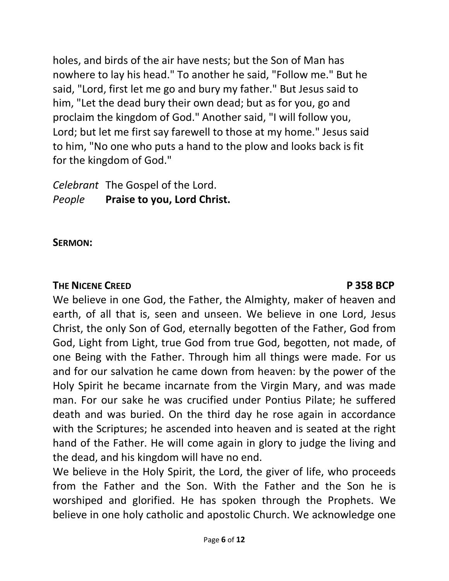holes, and birds of the air have nests; but the Son of Man has nowhere to lay his head." To another he said, "Follow me." But he said, "Lord, first let me go and bury my father." But Jesus said to him, "Let the dead bury their own dead; but as for you, go and proclaim the kingdom of God." Another said, "I will follow you, Lord; but let me first say farewell to those at my home." Jesus said to him, "No one who puts a hand to the plow and looks back is fit for the kingdom of God."

*Celebrant* The Gospel of the Lord. *People* **Praise to you, Lord Christ.**

**SERMON:**

#### **THE NICENE CREED P 358 BCP**

We believe in one God, the Father, the Almighty, maker of heaven and earth, of all that is, seen and unseen. We believe in one Lord, Jesus Christ, the only Son of God, eternally begotten of the Father, God from God, Light from Light, true God from true God, begotten, not made, of one Being with the Father. Through him all things were made. For us and for our salvation he came down from heaven: by the power of the Holy Spirit he became incarnate from the Virgin Mary, and was made man. For our sake he was crucified under Pontius Pilate; he suffered death and was buried. On the third day he rose again in accordance with the Scriptures; he ascended into heaven and is seated at the right hand of the Father. He will come again in glory to judge the living and the dead, and his kingdom will have no end.

We believe in the Holy Spirit, the Lord, the giver of life, who proceeds from the Father and the Son. With the Father and the Son he is worshiped and glorified. He has spoken through the Prophets. We believe in one holy catholic and apostolic Church. We acknowledge one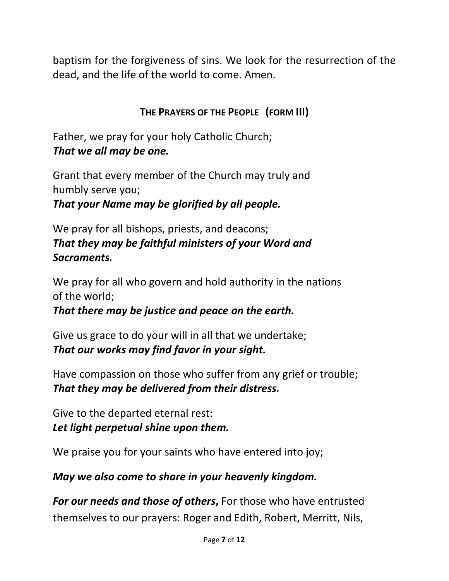baptism for the forgiveness of sins. We look for the resurrection of the dead, and the life of the world to come. Amen.

# **THE PRAYERS OF THE PEOPLE (FORM III)**

Father, we pray for your holy Catholic Church; *That we all may be one.*

Grant that every member of the Church may truly and humbly serve you;

*That your Name may be glorified by all people.*

We pray for all bishops, priests, and deacons; *That they may be faithful ministers of your Word and Sacraments.*

We pray for all who govern and hold authority in the nations of the world;

*That there may be justice and peace on the earth.*

Give us grace to do your will in all that we undertake; *That our works may find favor in your sight.*

Have compassion on those who suffer from any grief or trouble; *That they may be delivered from their distress.*

Give to the departed eternal rest: *Let light perpetual shine upon them.*

We praise you for your saints who have entered into joy;

*May we also come to share in your heavenly kingdom.*

**For our needs and those of others, For those who have entrusted** themselves to our prayers: Roger and Edith, Robert, Merritt, Nils,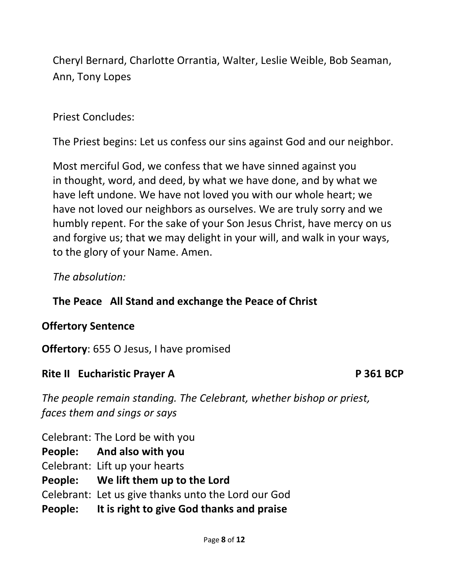Cheryl Bernard, Charlotte Orrantia, Walter, Leslie Weible, Bob Seaman, Ann, Tony Lopes

Priest Concludes:

The Priest begins: Let us confess our sins against God and our neighbor.

Most merciful God, we confess that we have sinned against you in thought, word, and deed, by what we have done, and by what we have left undone. We have not loved you with our whole heart; we have not loved our neighbors as ourselves. We are truly sorry and we humbly repent. For the sake of your Son Jesus Christ, have mercy on us and forgive us; that we may delight in your will, and walk in your ways, to the glory of your Name. Amen.

*The absolution:*

### **The Peace All Stand and exchange the Peace of Christ**

#### **Offertory Sentence**

**Offertory**: 655 O Jesus, I have promised

### **Rite II Eucharistic Prayer A P P** 361 BCP

*The people remain standing. The Celebrant, whether bishop or priest, faces them and sings or says*

Celebrant: The Lord be with you **People: And also with you** Celebrant: Lift up your hearts **People: We lift them up to the Lord** Celebrant: Let us give thanks unto the Lord our God **People: It is right to give God thanks and praise**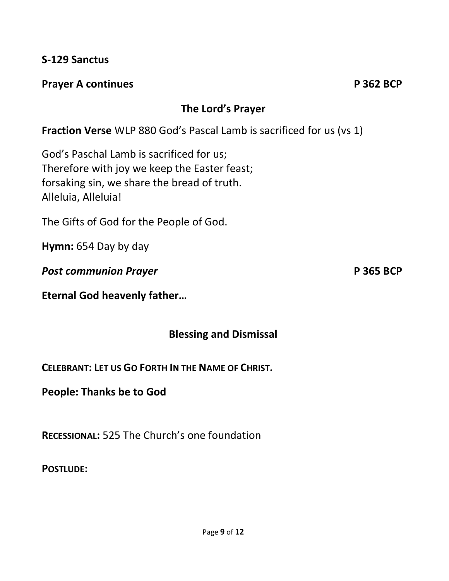#### **S-129 Sanctus**

#### **Prayer A continues** P **262 BCP**

#### **The Lord's Prayer**

**Fraction Verse** WLP 880 God's Pascal Lamb is sacrificed for us (vs 1)

God's Paschal Lamb is sacrificed for us; Therefore with joy we keep the Easter feast; forsaking sin, we share the bread of truth. Alleluia, Alleluia!

The Gifts of God for the People of God.

**Hymn:** 654 Day by day

**Post communion Prayer <b>P** 365 BCP

**Eternal God heavenly father…**

#### **Blessing and Dismissal**

**CELEBRANT: LET US GO FORTH IN THE NAME OF CHRIST.**

**People: Thanks be to God**

**RECESSIONAL:** 525 The Church's one foundation

**POSTLUDE:**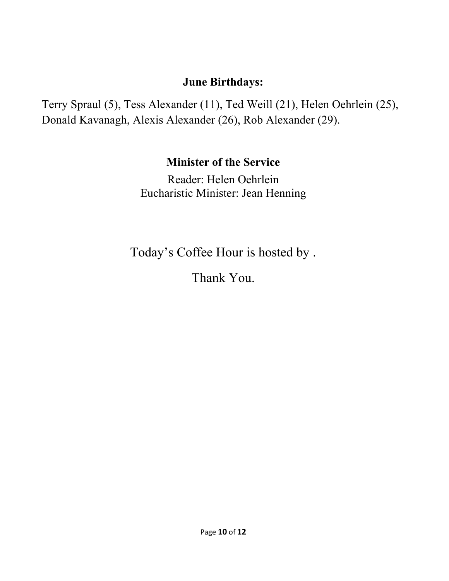## **June Birthdays:**

Terry Spraul (5), Tess Alexander (11), Ted Weill (21), Helen Oehrlein (25), Donald Kavanagh, Alexis Alexander (26), Rob Alexander (29).

# **Minister of the Service**

Reader: Helen Oehrlein Eucharistic Minister: Jean Henning

Today's Coffee Hour is hosted by .

Thank You.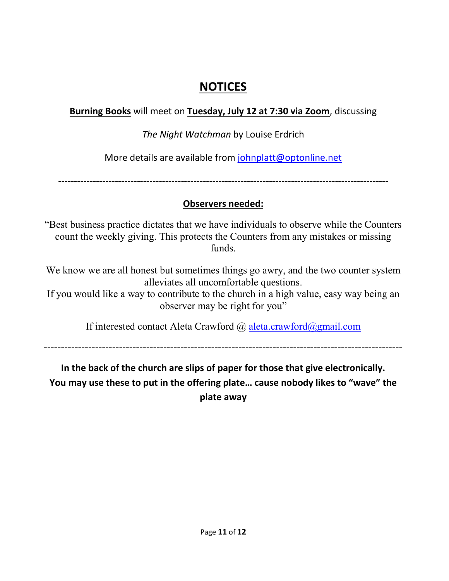# **NOTICES**

#### **Burning Books** will meet on **Tuesday, July 12 at 7:30 via Zoom**, discussing

#### *The Night Watchman* by Louise Erdrich

More details are available from [johnplatt@optonline.net](mailto:johnplatt@optonline.net)

---------------------------------------------------------------------------------------------------------

#### **Observers needed:**

"Best business practice dictates that we have individuals to observe while the Counters count the weekly giving. This protects the Counters from any mistakes or missing funds.

We know we are all honest but sometimes things go awry, and the two counter system alleviates all uncomfortable questions.

If you would like a way to contribute to the church in a high value, easy way being an observer may be right for you"

If interested contact Aleta Crawford  $\omega$  aleta.crawford  $\omega$  gmail.com

---------------------------------------------------------------------------------------------------------

**In the back of the church are slips of paper for those that give electronically. You may use these to put in the offering plate… cause nobody likes to "wave" the plate away**